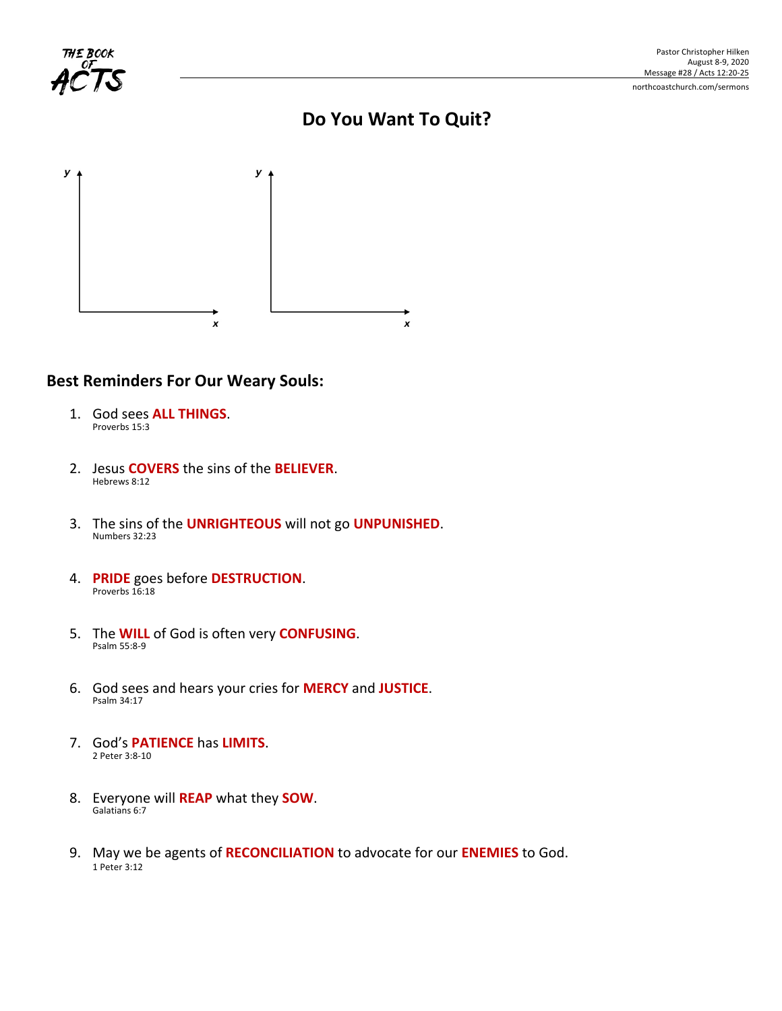

# **Do You Want To Quit?**



### **Best Reminders For Our Weary Souls:**

- 1. God sees **ALL THINGS**. Proverbs 15:3
- 2. Jesus **COVERS** the sins of the **BELIEVER**. Hebrews 8:12
- 3. The sins of the **UNRIGHTEOUS** will not go **UNPUNISHED**. Numbers 32:23
- 4. **PRIDE** goes before **DESTRUCTION**. Proverbs 16:18
- 5. The **WILL** of God is often very **CONFUSING**. Psalm 55:8-9
- 6. God sees and hears your cries for **MERCY** and **JUSTICE**. Psalm 34:17
- 7. God's **PATIENCE** has **LIMITS**. 2 Peter 3:8-10
- 8. Everyone will **REAP** what they **SOW**. Galatians 6:7
- 9. May we be agents of **RECONCILIATION** to advocate for our **ENEMIES** to God. 1 Peter 3:12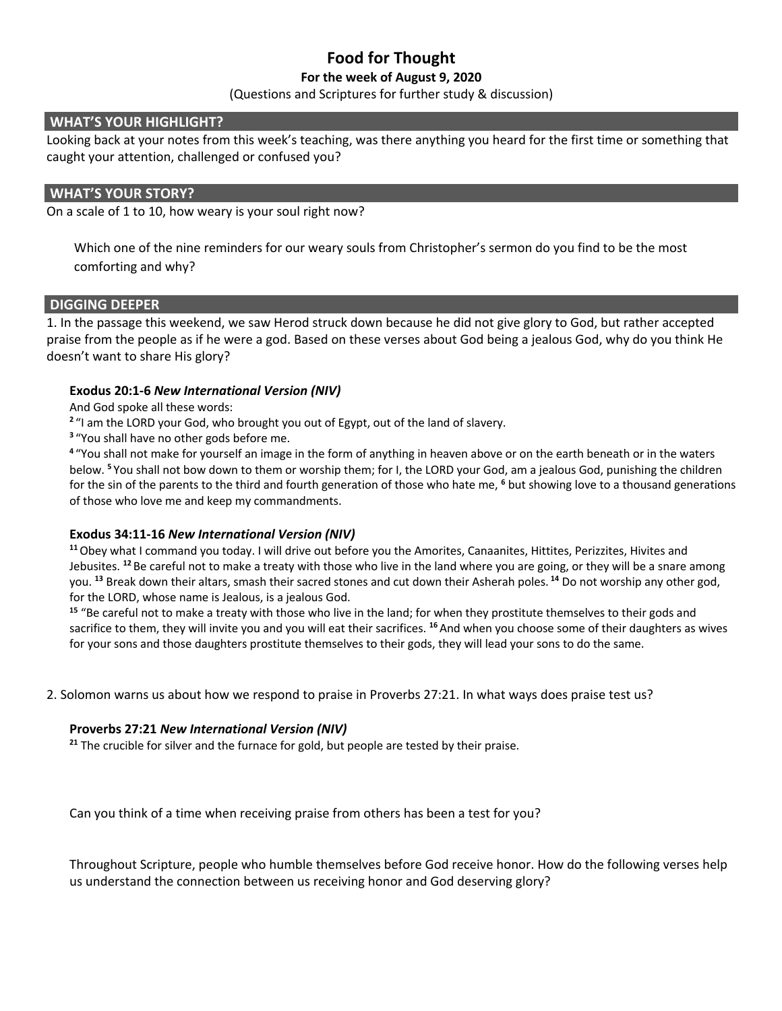# **Food for Thought**

#### **For the week of August 9, 2020**

(Questions and Scriptures for further study & discussion)

#### **WHAT'S YOUR HIGHLIGHT?**

Looking back at your notes from this week's teaching, was there anything you heard for the first time or something that caught your attention, challenged or confused you?

#### **WHAT'S YOUR STORY?**

On a scale of 1 to 10, how weary is your soul right now?

Which one of the nine reminders for our weary souls from Christopher's sermon do you find to be the most comforting and why?

#### **DIGGING DEEPER**

1. In the passage this weekend, we saw Herod struck down because he did not give glory to God, but rather accepted praise from the people as if he were a god. Based on these verses about God being a jealous God, why do you think He doesn't want to share His glory?

#### **Exodus 20:1-6** *New International Version (NIV)*

And God spoke all these words:

**<sup>2</sup>** "I am the LORD your God, who brought you out of Egypt, out of the land of slavery.

**<sup>3</sup>** "You shall have no other gods before me.

**<sup>4</sup>** "You shall not make for yourself an image in the form of anything in heaven above or on the earth beneath or in the waters below. **<sup>5</sup>**You shall not bow down to them or worship them; for I, the LORD your God, am a jealous God, punishing the children for the sin of the parents to the third and fourth generation of those who hate me, **<sup>6</sup>** but showing love to a thousand generations of those who love me and keep my commandments.

#### **Exodus 34:11-16** *New International Version (NIV)*

**<sup>11</sup>**Obey what I command you today. I will drive out before you the Amorites, Canaanites, Hittites, Perizzites, Hivites and Jebusites. **<sup>12</sup>** Be careful not to make a treaty with those who live in the land where you are going, or they will be a snare among you. **<sup>13</sup>** Break down their altars, smash their sacred stones and cut down their Asherah poles. **<sup>14</sup>** Do not worship any other god, for the LORD, whose name is Jealous, is a jealous God.

**<sup>15</sup>** "Be careful not to make a treaty with those who live in the land; for when they prostitute themselves to their gods and sacrifice to them, they will invite you and you will eat their sacrifices. **<sup>16</sup>**And when you choose some of their daughters as wives for your sons and those daughters prostitute themselves to their gods, they will lead your sons to do the same.

2. Solomon warns us about how we respond to praise in Proverbs 27:21. In what ways does praise test us?

#### **Proverbs 27:21** *New International Version (NIV)*

**<sup>21</sup>** The crucible for silver and the furnace for gold, but people are tested by their praise.

Can you think of a time when receiving praise from others has been a test for you?

Throughout Scripture, people who humble themselves before God receive honor. How do the following verses help us understand the connection between us receiving honor and God deserving glory?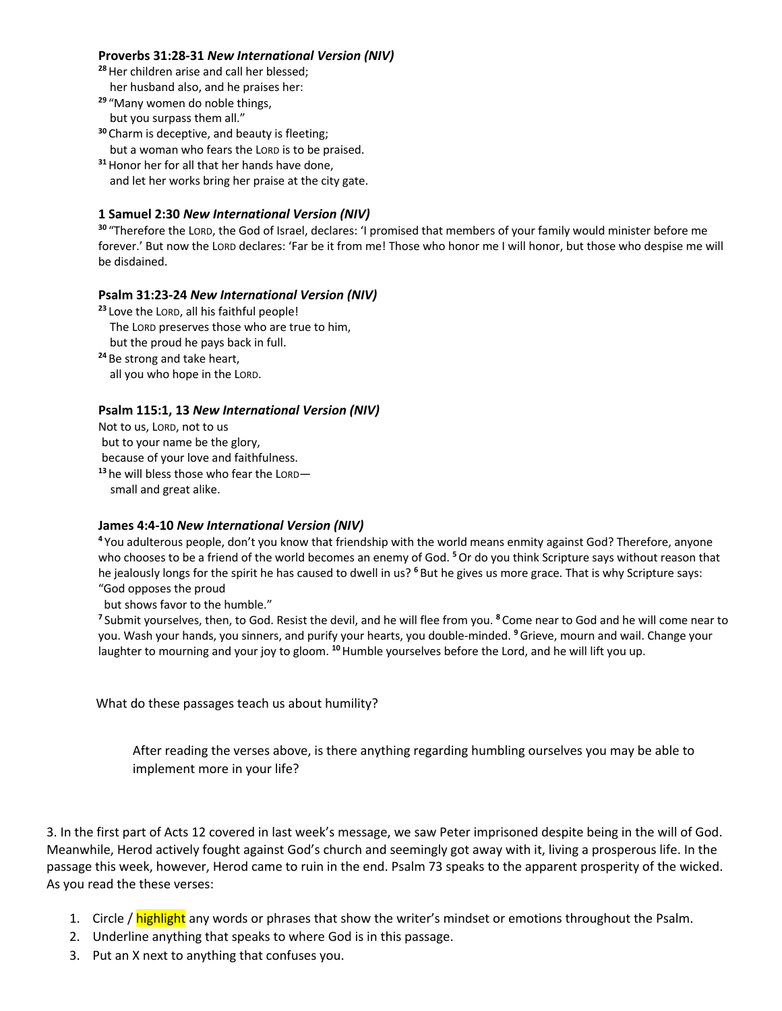#### **Proverbs 31:28-31** *New International Version (NIV)*

**<sup>28</sup>**Her children arise and call her blessed;

- her husband also, and he praises her:
- **<sup>29</sup>** "Many women do noble things,
- but you surpass them all." **<sup>30</sup>** Charm is deceptive, and beauty is fleeting;
- but a woman who fears the LORD is to be praised.
- **<sup>31</sup>**Honor her for all that her hands have done, and let her works bring her praise at the city gate.

#### **1 Samuel 2:30** *New International Version (NIV)*

**<sup>30</sup>** "Therefore the LORD, the God of Israel, declares: 'I promised that members of your family would minister before me forever.' But now the LORD declares: 'Far be it from me! Those who honor me I will honor, but those who despise me will be disdained.

#### **Psalm 31:23-24** *New International Version (NIV)*

**<sup>23</sup>** Love the LORD, all his faithful people!

The LORD preserves those who are true to him,

but the proud he pays back in full.

**<sup>24</sup>** Be strong and take heart, all you who hope in the LORD.

#### **Psalm 115:1, 13** *New International Version (NIV)*

Not to us, LORD, not to us

but to your name be the glory,

because of your love and faithfulness.

**<sup>13</sup>**he will bless those who fear the LORD small and great alike.

## **James 4:4-10** *New International Version (NIV)*

**<sup>4</sup>** You adulterous people, don't you know that friendship with the world means enmity against God? Therefore, anyone who chooses to be a friend of the world becomes an enemy of God. **<sup>5</sup>**Or do you think Scripture says without reason that he jealously longs for the spirit he has caused to dwell in us? **<sup>6</sup>** But he gives us more grace. That is why Scripture says: "God opposes the proud

but shows favor to the humble."

**<sup>7</sup>** Submit yourselves, then, to God. Resist the devil, and he will flee from you. **<sup>8</sup>** Come near to God and he will come near to you. Wash your hands, you sinners, and purify your hearts, you double-minded. **<sup>9</sup>**Grieve, mourn and wail. Change your laughter to mourning and your joy to gloom. **<sup>10</sup>**Humble yourselves before the Lord, and he will lift you up.

What do these passages teach us about humility?

After reading the verses above, is there anything regarding humbling ourselves you may be able to implement more in your life?

3. In the first part of Acts 12 covered in last week's message, we saw Peter imprisoned despite being in the will of God. Meanwhile, Herod actively fought against God's church and seemingly got away with it, living a prosperous life. In the passage this week, however, Herod came to ruin in the end. Psalm 73 speaks to the apparent prosperity of the wicked. As you read the these verses:

- 1. Circle / highlight any words or phrases that show the writer's mindset or emotions throughout the Psalm.
- 2. Underline anything that speaks to where God is in this passage.
- 3. Put an X next to anything that confuses you.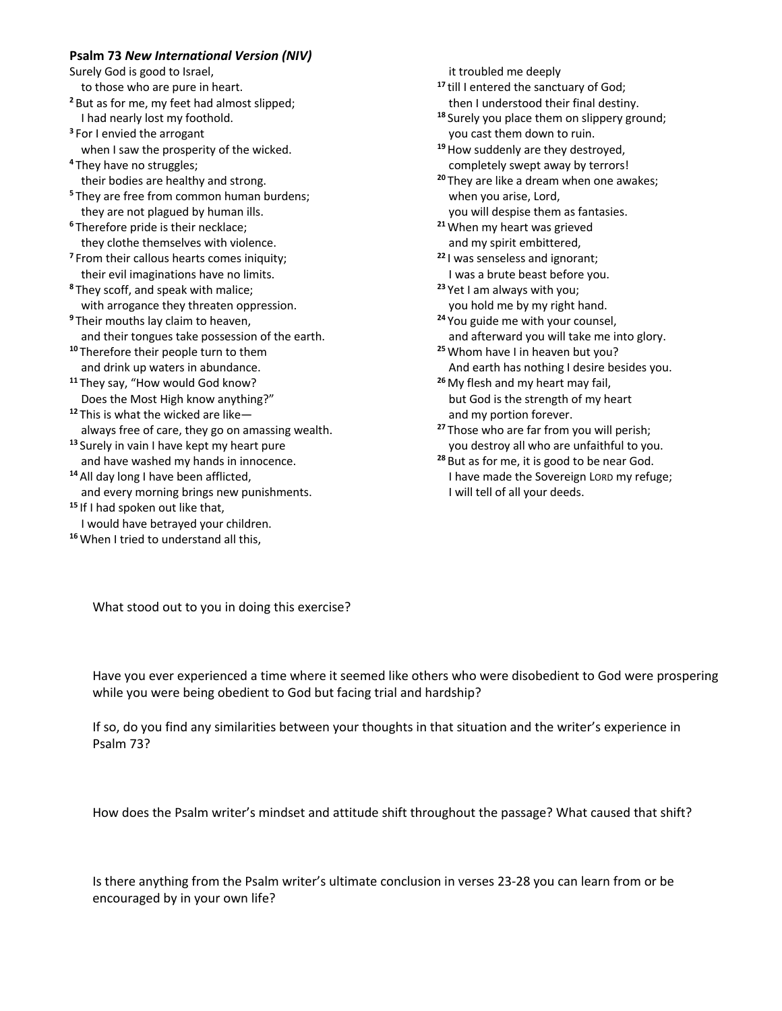#### **Psalm 73** *New International Version (NIV)*

Surely God is good to Israel,

to those who are pure in heart.

- **<sup>2</sup>** But as for me, my feet had almost slipped; I had nearly lost my foothold.
- **<sup>3</sup>** For I envied the arrogant when I saw the prosperity of the wicked.
- **<sup>4</sup>** They have no struggles; their bodies are healthy and strong.
- **<sup>5</sup>** They are free from common human burdens; they are not plagued by human ills.
- **<sup>6</sup>** Therefore pride is their necklace; they clothe themselves with violence.
- **<sup>7</sup>** From their callous hearts comes iniquity; their evil imaginations have no limits.
- **<sup>8</sup>** They scoff, and speak with malice; with arrogance they threaten oppression.
- **<sup>9</sup>** Their mouths lay claim to heaven, and their tongues take possession of the earth.
- **<sup>10</sup>** Therefore their people turn to them and drink up waters in abundance.
- **<sup>11</sup>** They say, "How would God know? Does the Most High know anything?"
- **<sup>12</sup>** This is what the wicked are like always free of care, they go on amassing wealth.
- **<sup>13</sup>** Surely in vain I have kept my heart pure and have washed my hands in innocence.
- **<sup>14</sup>** All day long I have been afflicted, and every morning brings new punishments.
- **<sup>15</sup>** If I had spoken out like that, I would have betrayed your children.
- **<sup>16</sup>**When I tried to understand all this,
- it troubled me deeply
- **<sup>17</sup>** till I entered the sanctuary of God; then I understood their final destiny.
- **<sup>18</sup>** Surely you place them on slippery ground; you cast them down to ruin.
- **<sup>19</sup>**How suddenly are they destroyed, completely swept away by terrors!
- **<sup>20</sup>** They are like a dream when one awakes; when you arise, Lord,
- you will despise them as fantasies. **<sup>21</sup>**When my heart was grieved
- and my spirit embittered,
- **<sup>22</sup>** I was senseless and ignorant; I was a brute beast before you.
- **<sup>23</sup>** Yet I am always with you; you hold me by my right hand.
- **<sup>24</sup>** You guide me with your counsel, and afterward you will take me into glory.
- **<sup>25</sup>**Whom have I in heaven but you? And earth has nothing I desire besides you.
- **<sup>26</sup>** My flesh and my heart may fail, but God is the strength of my heart and my portion forever.
- **<sup>27</sup>** Those who are far from you will perish; you destroy all who are unfaithful to you.
- **<sup>28</sup>** But as for me, it is good to be near God. I have made the Sovereign LORD my refuge; I will tell of all your deeds.

What stood out to you in doing this exercise?

Have you ever experienced a time where it seemed like others who were disobedient to God were prospering while you were being obedient to God but facing trial and hardship?

If so, do you find any similarities between your thoughts in that situation and the writer's experience in Psalm 73?

How does the Psalm writer's mindset and attitude shift throughout the passage? What caused that shift?

Is there anything from the Psalm writer's ultimate conclusion in verses 23-28 you can learn from or be encouraged by in your own life?